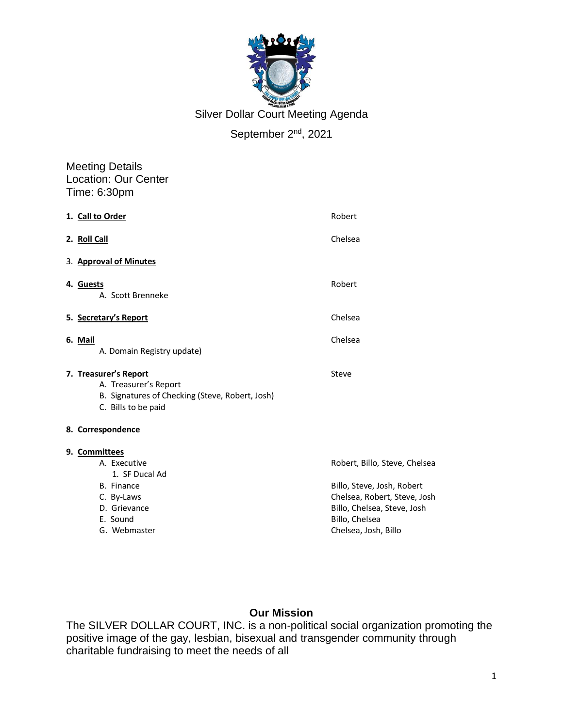

Silver Dollar Court Meeting Agenda

# September 2<sup>nd</sup>, 2021

| <b>Meeting Details</b>      |  |
|-----------------------------|--|
| <b>Location: Our Center</b> |  |
| Time: 6:30pm                |  |

| 1. Call to Order                                                                                                               | Robert                                                                                                                                                               |
|--------------------------------------------------------------------------------------------------------------------------------|----------------------------------------------------------------------------------------------------------------------------------------------------------------------|
| 2. Roll Call                                                                                                                   | Chelsea                                                                                                                                                              |
| 3. Approval of Minutes                                                                                                         |                                                                                                                                                                      |
| 4. Guests<br>A. Scott Brenneke                                                                                                 | Robert                                                                                                                                                               |
| 5. Secretary's Report                                                                                                          | Chelsea                                                                                                                                                              |
| 6. Mail<br>A. Domain Registry update)                                                                                          | Chelsea                                                                                                                                                              |
| 7. Treasurer's Report<br>A. Treasurer's Report<br>B. Signatures of Checking (Steve, Robert, Josh)<br>C. Bills to be paid       | Steve                                                                                                                                                                |
| 8. Correspondence                                                                                                              |                                                                                                                                                                      |
| 9. Committees<br>A. Executive<br>1. SF Ducal Ad<br><b>B.</b> Finance<br>C. By-Laws<br>D. Grievance<br>E. Sound<br>G. Webmaster | Robert, Billo, Steve, Chelsea<br>Billo, Steve, Josh, Robert<br>Chelsea, Robert, Steve, Josh<br>Billo, Chelsea, Steve, Josh<br>Billo, Chelsea<br>Chelsea, Josh, Billo |

# **Our Mission**

The SILVER DOLLAR COURT, INC. is a non-political social organization promoting the positive image of the gay, lesbian, bisexual and transgender community through charitable fundraising to meet the needs of all